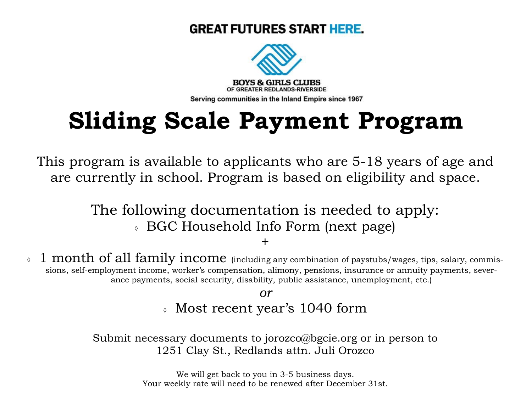## **GREAT FUTURES START HERE.**



## **Sliding Scale Payment Program**

This program is available to applicants who are 5-18 years of age and are currently in school. Program is based on eligibility and space.

> The following documentation is needed to apply: BGC Household Info Form (next page)

> > +

 $\delta$  1 month of all family income (including any combination of paystubs/wages, tips, salary, commissions, self-employment income, worker's compensation, alimony, pensions, insurance or annuity payments, severance payments, social security, disability, public assistance, unemployment, etc.)

> *or* Most recent year's 1040 form

Submit necessary documents to jorozco@bgcie.org or in person to 1251 Clay St., Redlands attn. Juli Orozco

> We will get back to you in 3-5 business days. Your weekly rate will need to be renewed after December 31st.